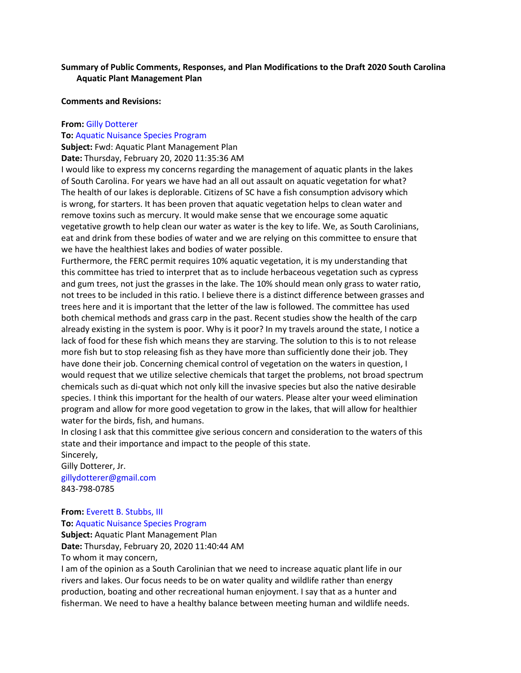# **Summary of Public Comments, Responses, and Plan Modifications to the Draft 2020 South Carolina Aquatic Plant Management Plan**

**Comments and Revisions:**

### **From:** Gilly Dotterer

#### **To:** Aquatic Nuisance Species Program

**Subject:** Fwd: Aquatic Plant Management Plan

**Date:** Thursday, February 20, 2020 11:35:36 AM

I would like to express my concerns regarding the management of aquatic plants in the lakes of South Carolina. For years we have had an all out assault on aquatic vegetation for what? The health of our lakes is deplorable. Citizens of SC have a fish consumption advisory which is wrong, for starters. It has been proven that aquatic vegetation helps to clean water and remove toxins such as mercury. It would make sense that we encourage some aquatic vegetative growth to help clean our water as water is the key to life. We, as South Carolinians, eat and drink from these bodies of water and we are relying on this committee to ensure that we have the healthiest lakes and bodies of water possible.

Furthermore, the FERC permit requires 10% aquatic vegetation, it is my understanding that this committee has tried to interpret that as to include herbaceous vegetation such as cypress and gum trees, not just the grasses in the lake. The 10% should mean only grass to water ratio, not trees to be included in this ratio. I believe there is a distinct difference between grasses and trees here and it is important that the letter of the law is followed. The committee has used both chemical methods and grass carp in the past. Recent studies show the health of the carp already existing in the system is poor. Why is it poor? In my travels around the state, I notice a lack of food for these fish which means they are starving. The solution to this is to not release more fish but to stop releasing fish as they have more than sufficiently done their job. They have done their job. Concerning chemical control of vegetation on the waters in question, I would request that we utilize selective chemicals that target the problems, not broad spectrum chemicals such as di-quat which not only kill the invasive species but also the native desirable species. I think this important for the health of our waters. Please alter your weed elimination program and allow for more good vegetation to grow in the lakes, that will allow for healthier water for the birds, fish, and humans.

In closing I ask that this committee give serious concern and consideration to the waters of this state and their importance and impact to the people of this state. Sincerely,

Gilly Dotterer, Jr. gillydotterer@gmail.com 843-798-0785

### **From: Everett B. Stubbs, III To:** Aquatic Nuisance Species Program

**Subject:** Aquatic Plant Management Plan

**Date:** Thursday, February 20, 2020 11:40:44 AM

To whom it may concern,

I am of the opinion as a South Carolinian that we need to increase aquatic plant life in our rivers and lakes. Our focus needs to be on water quality and wildlife rather than energy production, boating and other recreational human enjoyment. I say that as a hunter and fisherman. We need to have a healthy balance between meeting human and wildlife needs.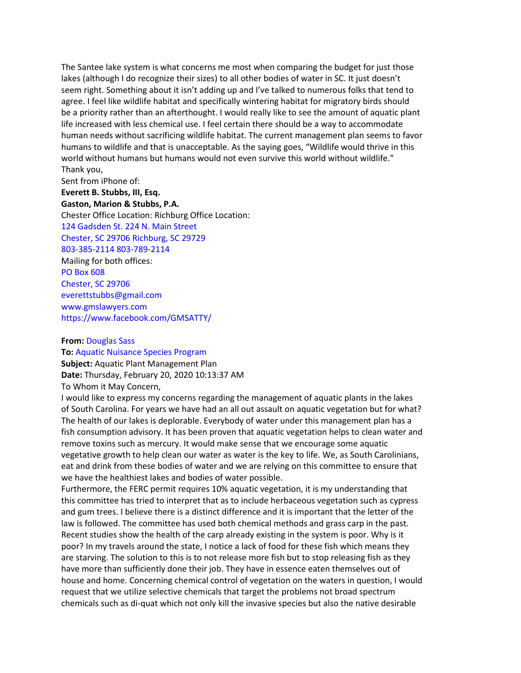The Santee lake system is what concerns me most when comparing the budget for just those lakes (although I do recognize their sizes) to all other bodies of water in SC. It just doesn't seem right. Something about it isn't adding up and I've talked to numerous folks that tend to agree. I feel like wildlife habitat and specifically wintering habitat for migratory birds should be a priority rather than an afterthought. I would really like to see the amount of aquatic plant life increased with less chemical use. I feel certain there should be a way to accommodate human needs without sacrificing wildlife habitat. The current management plan seems to favor humans to wildlife and that is unacceptable. As the saying goes, "Wildlife would thrive in this world without humans but humans would not even survive this world without wildlife." Thank you,

Sent from iPhone of: **Everett B. Stubbs, III, Esq. Gaston, Marion & Stubbs, P.A.** Chester Office Location: Richburg Office Location: 124 Gadsden St. 224 N. Main Street Chester, SC 29706 Richburg, SC 29729 803-385-2114 803-789-2114 Mailing for both offices: PO Box 608 Chester, SC 29706 everettstubbs@gmail.com www.gmslawyers.com https://www.facebook.com/GMSATTY/

#### **From:** Douglas Sass

**To:** Aquatic Nuisance Species Program **Subject:** Aquatic Plant Management Plan **Date:** Thursday, February 20, 2020 10:13:37 AM To Whom it May Concern,

I would like to express my concerns regarding the management of aquatic plants in the lakes of South Carolina. For years we have had an all out assault on aquatic vegetation but for what? The health of our lakes is deplorable. Everybody of water under this management plan has a fish consumption advisory. It has been proven that aquatic vegetation helps to clean water and remove toxins such as mercury. It would make sense that we encourage some aquatic vegetative growth to help clean our water as water is the key to life. We, as South Carolinians, eat and drink from these bodies of water and we are relying on this committee to ensure that we have the healthiest lakes and bodies of water possible.

Furthermore, the FERC permit requires 10% aquatic vegetation, it is my understanding that this committee has tried to interpret that as to include herbaceous vegetation such as cypress and gum trees. I believe there is a distinct difference and it is important that the letter of the law is followed. The committee has used both chemical methods and grass carp in the past. Recent studies show the health of the carp already existing in the system is poor. Why is it poor? In my travels around the state, I notice a lack of food for these fish which means they are starving. The solution to this is to not release more fish but to stop releasing fish as they have more than sufficiently done their job. They have in essence eaten themselves out of house and home. Concerning chemical control of vegetation on the waters in question, I would request that we utilize selective chemicals that target the problems not broad spectrum chemicals such as di-quat which not only kill the invasive species but also the native desirable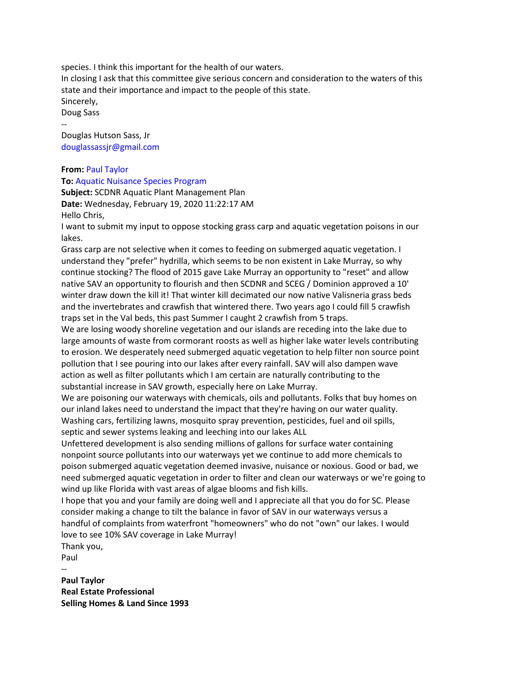species. I think this important for the health of our waters.

In closing I ask that this committee give serious concern and consideration to the waters of this state and their importance and impact to the people of this state. Sincerely,

Doug Sass --

Douglas Hutson Sass, Jr douglassassjr@gmail.com

## **From:** Paul Taylor

**To:** Aquatic Nuisance Species Program

**Subject:** SCDNR Aquatic Plant Management Plan **Date:** Wednesday, February 19, 2020 11:22:17 AM Hello Chris,

I want to submit my input to oppose stocking grass carp and aquatic vegetation poisons in our lakes.

Grass carp are not selective when it comes to feeding on submerged aquatic vegetation. I understand they "prefer" hydrilla, which seems to be non existent in Lake Murray, so why continue stocking? The flood of 2015 gave Lake Murray an opportunity to "reset" and allow native SAV an opportunity to flourish and then SCDNR and SCEG / Dominion approved a 10' winter draw down the kill it! That winter kill decimated our now native Valisneria grass beds and the invertebrates and crawfish that wintered there. Two years ago I could fill 5 crawfish traps set in the Val beds, this past Summer I caught 2 crawfish from 5 traps.

We are losing woody shoreline vegetation and our islands are receding into the lake due to large amounts of waste from cormorant roosts as well as higher lake water levels contributing to erosion. We desperately need submerged aquatic vegetation to help filter non source point pollution that I see pouring into our lakes after every rainfall. SAV will also dampen wave action as well as filter pollutants which I am certain are naturally contributing to the substantial increase in SAV growth, especially here on Lake Murray.

We are poisoning our waterways with chemicals, oils and pollutants. Folks that buy homes on our inland lakes need to understand the impact that they're having on our water quality. Washing cars, fertilizing lawns, mosquito spray prevention, pesticides, fuel and oil spills, septic and sewer systems leaking and leeching into our lakes ALL

Unfettered development is also sending millions of gallons for surface water containing nonpoint source pollutants into our waterways yet we continue to add more chemicals to poison submerged aquatic vegetation deemed invasive, nuisance or noxious. Good or bad, we need submerged aquatic vegetation in order to filter and clean our waterways or we're going to wind up like Florida with vast areas of algae blooms and fish kills.

I hope that you and your family are doing well and I appreciate all that you do for SC. Please consider making a change to tilt the balance in favor of SAV in our waterways versus a handful of complaints from waterfront "homeowners" who do not "own" our lakes. I would love to see 10% SAV coverage in Lake Murray!

Thank you,

Paul --

**Paul Taylor Real Estate Professional Selling Homes & Land Since 1993**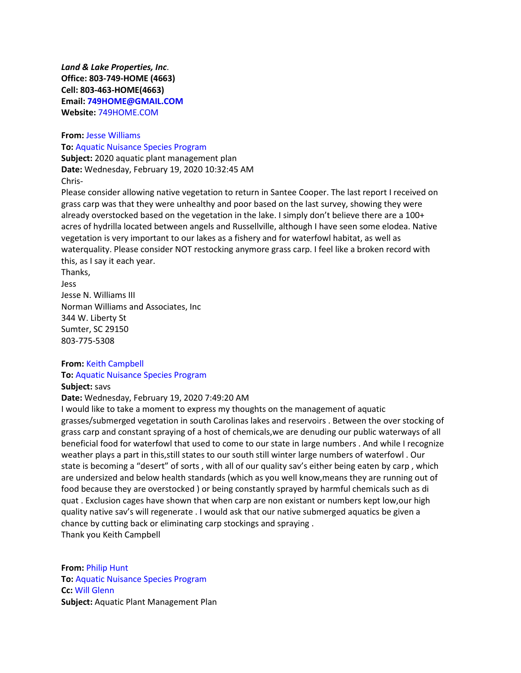*Land & Lake Properties, Inc*. **Office: 803-749-HOME (4663) Cell: 803-463-HOME(4663) Email: 749HOME@GMAIL.COM Website:** 749HOME.COM

**From:** Jesse Williams **To:** Aquatic Nuisance Species Program

**Subject:** 2020 aquatic plant management plan **Date:** Wednesday, February 19, 2020 10:32:45 AM Chris-

Please consider allowing native vegetation to return in Santee Cooper. The last report I received on grass carp was that they were unhealthy and poor based on the last survey, showing they were already overstocked based on the vegetation in the lake. I simply don't believe there are a 100+ acres of hydrilla located between angels and Russellville, although I have seen some elodea. Native vegetation is very important to our lakes as a fishery and for waterfowl habitat, as well as waterquality. Please consider NOT restocking anymore grass carp. I feel like a broken record with this, as I say it each year.

Thanks, Jess Jesse N. Williams III Norman Williams and Associates, Inc 344 W. Liberty St Sumter, SC 29150 803-775-5308

# **From:** Keith Campbell

# **To:** Aquatic Nuisance Species Program

**Subject:** savs

**Date:** Wednesday, February 19, 2020 7:49:20 AM

I would like to take a moment to express my thoughts on the management of aquatic grasses/submerged vegetation in south Carolinas lakes and reservoirs . Between the over stocking of grass carp and constant spraying of a host of chemicals,we are denuding our public waterways of all beneficial food for waterfowl that used to come to our state in large numbers . And while I recognize weather plays a part in this,still states to our south still winter large numbers of waterfowl . Our state is becoming a "desert" of sorts , with all of our quality sav's either being eaten by carp , which are undersized and below health standards (which as you well know,means they are running out of food because they are overstocked ) or being constantly sprayed by harmful chemicals such as di quat . Exclusion cages have shown that when carp are non existant or numbers kept low,our high quality native sav's will regenerate . I would ask that our native submerged aquatics be given a chance by cutting back or eliminating carp stockings and spraying . Thank you Keith Campbell

**From:** Philip Hunt **To:** Aquatic Nuisance Species Program **Cc:** Will Glenn **Subject:** Aquatic Plant Management Plan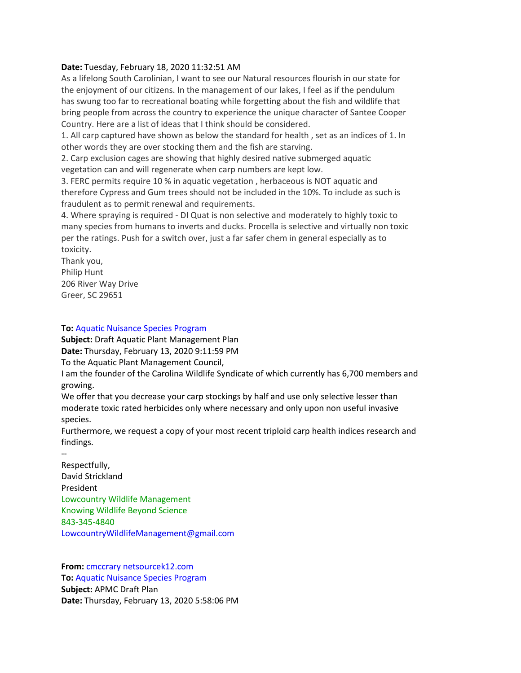### **Date:** Tuesday, February 18, 2020 11:32:51 AM

As a lifelong South Carolinian, I want to see our Natural resources flourish in our state for the enjoyment of our citizens. In the management of our lakes, I feel as if the pendulum has swung too far to recreational boating while forgetting about the fish and wildlife that bring people from across the country to experience the unique character of Santee Cooper Country. Here are a list of ideas that I think should be considered.

1. All carp captured have shown as below the standard for health , set as an indices of 1. In other words they are over stocking them and the fish are starving.

2. Carp exclusion cages are showing that highly desired native submerged aquatic vegetation can and will regenerate when carp numbers are kept low.

3. FERC permits require 10 % in aquatic vegetation , herbaceous is NOT aquatic and therefore Cypress and Gum trees should not be included in the 10%. To include as such is fraudulent as to permit renewal and requirements.

4. Where spraying is required - DI Quat is non selective and moderately to highly toxic to many species from humans to inverts and ducks. Procella is selective and virtually non toxic per the ratings. Push for a switch over, just a far safer chem in general especially as to toxicity.

Thank you, Philip Hunt 206 River Way Drive Greer, SC 29651

**To:** Aquatic Nuisance Species Program

**Subject:** Draft Aquatic Plant Management Plan **Date:** Thursday, February 13, 2020 9:11:59 PM To the Aquatic Plant Management Council,

I am the founder of the Carolina Wildlife Syndicate of which currently has 6,700 members and growing.

We offer that you decrease your carp stockings by half and use only selective lesser than moderate toxic rated herbicides only where necessary and only upon non useful invasive species.

Furthermore, we request a copy of your most recent triploid carp health indices research and findings.

-- Respectfully, David Strickland President Lowcountry Wildlife Management Knowing Wildlife Beyond Science 843-345-4840 LowcountryWildlifeManagement@gmail.com

**From:** cmccrary netsourcek12.com **To:** Aquatic Nuisance Species Program **Subject:** APMC Draft Plan **Date:** Thursday, February 13, 2020 5:58:06 PM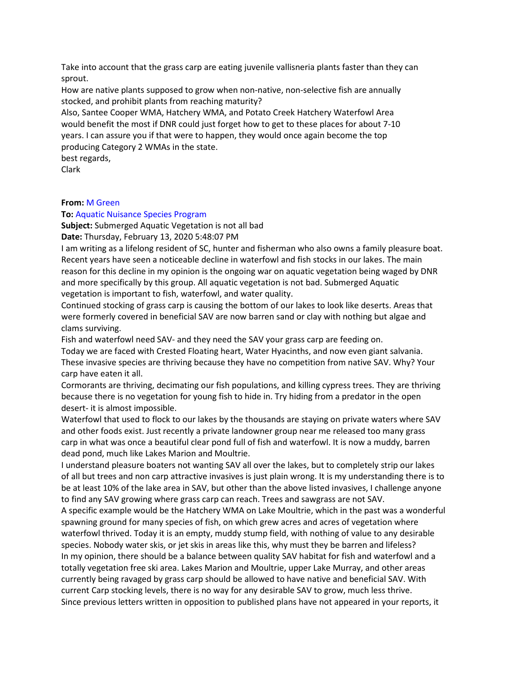Take into account that the grass carp are eating juvenile vallisneria plants faster than they can sprout.

How are native plants supposed to grow when non-native, non-selective fish are annually stocked, and prohibit plants from reaching maturity?

Also, Santee Cooper WMA, Hatchery WMA, and Potato Creek Hatchery Waterfowl Area would benefit the most if DNR could just forget how to get to these places for about 7-10 years. I can assure you if that were to happen, they would once again become the top producing Category 2 WMAs in the state.

best regards,

Clark

## **From:** M Green

## **To:** Aquatic Nuisance Species Program

**Subject:** Submerged Aquatic Vegetation is not all bad

**Date:** Thursday, February 13, 2020 5:48:07 PM

I am writing as a lifelong resident of SC, hunter and fisherman who also owns a family pleasure boat. Recent years have seen a noticeable decline in waterfowl and fish stocks in our lakes. The main reason for this decline in my opinion is the ongoing war on aquatic vegetation being waged by DNR and more specifically by this group. All aquatic vegetation is not bad. Submerged Aquatic vegetation is important to fish, waterfowl, and water quality.

Continued stocking of grass carp is causing the bottom of our lakes to look like deserts. Areas that were formerly covered in beneficial SAV are now barren sand or clay with nothing but algae and clams surviving.

Fish and waterfowl need SAV- and they need the SAV your grass carp are feeding on.

Today we are faced with Crested Floating heart, Water Hyacinths, and now even giant salvania. These invasive species are thriving because they have no competition from native SAV. Why? Your carp have eaten it all.

Cormorants are thriving, decimating our fish populations, and killing cypress trees. They are thriving because there is no vegetation for young fish to hide in. Try hiding from a predator in the open desert- it is almost impossible.

Waterfowl that used to flock to our lakes by the thousands are staying on private waters where SAV and other foods exist. Just recently a private landowner group near me released too many grass carp in what was once a beautiful clear pond full of fish and waterfowl. It is now a muddy, barren dead pond, much like Lakes Marion and Moultrie.

I understand pleasure boaters not wanting SAV all over the lakes, but to completely strip our lakes of all but trees and non carp attractive invasives is just plain wrong. It is my understanding there is to be at least 10% of the lake area in SAV, but other than the above listed invasives, I challenge anyone to find any SAV growing where grass carp can reach. Trees and sawgrass are not SAV.

A specific example would be the Hatchery WMA on Lake Moultrie, which in the past was a wonderful spawning ground for many species of fish, on which grew acres and acres of vegetation where waterfowl thrived. Today it is an empty, muddy stump field, with nothing of value to any desirable species. Nobody water skis, or jet skis in areas like this, why must they be barren and lifeless? In my opinion, there should be a balance between quality SAV habitat for fish and waterfowl and a totally vegetation free ski area. Lakes Marion and Moultrie, upper Lake Murray, and other areas currently being ravaged by grass carp should be allowed to have native and beneficial SAV. With current Carp stocking levels, there is no way for any desirable SAV to grow, much less thrive. Since previous letters written in opposition to published plans have not appeared in your reports, it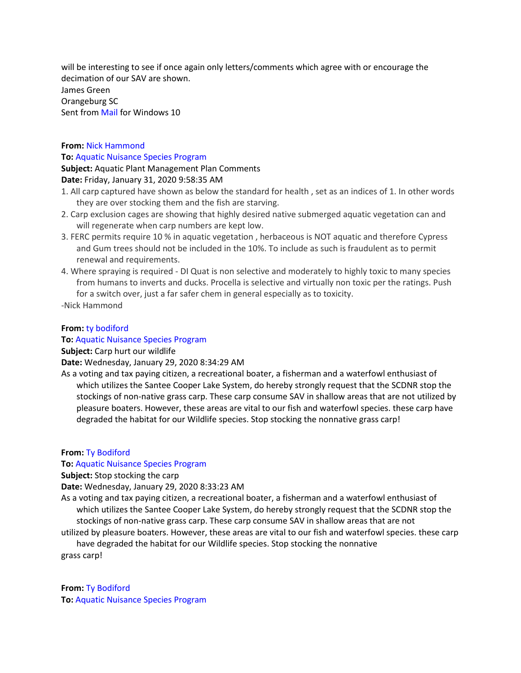will be interesting to see if once again only letters/comments which agree with or encourage the decimation of our SAV are shown.

James Green Orangeburg SC Sent from Mail for Windows 10

# **From:** Nick Hammond **To:** Aquatic Nuisance Species Program

**Subject:** Aquatic Plant Management Plan Comments

# **Date:** Friday, January 31, 2020 9:58:35 AM

- 1. All carp captured have shown as below the standard for health , set as an indices of 1. In other words they are over stocking them and the fish are starving.
- 2. Carp exclusion cages are showing that highly desired native submerged aquatic vegetation can and will regenerate when carp numbers are kept low.
- 3. FERC permits require 10 % in aquatic vegetation , herbaceous is NOT aquatic and therefore Cypress and Gum trees should not be included in the 10%. To include as such is fraudulent as to permit renewal and requirements.
- 4. Where spraying is required DI Quat is non selective and moderately to highly toxic to many species from humans to inverts and ducks. Procella is selective and virtually non toxic per the ratings. Push for a switch over, just a far safer chem in general especially as to toxicity.

-Nick Hammond

# **From:** ty bodiford

# **To:** Aquatic Nuisance Species Program

# **Subject:** Carp hurt our wildlife

**Date:** Wednesday, January 29, 2020 8:34:29 AM

As a voting and tax paying citizen, a recreational boater, a fisherman and a waterfowl enthusiast of which utilizes the Santee Cooper Lake System, do hereby strongly request that the SCDNR stop the stockings of non-native grass carp. These carp consume SAV in shallow areas that are not utilized by pleasure boaters. However, these areas are vital to our fish and waterfowl species. these carp have degraded the habitat for our Wildlife species. Stop stocking the nonnative grass carp!

# **From:** Ty Bodiford

# **To:** Aquatic Nuisance Species Program

# **Subject:** Stop stocking the carp

**Date:** Wednesday, January 29, 2020 8:33:23 AM

As a voting and tax paying citizen, a recreational boater, a fisherman and a waterfowl enthusiast of which utilizes the Santee Cooper Lake System, do hereby strongly request that the SCDNR stop the stockings of non-native grass carp. These carp consume SAV in shallow areas that are not

utilized by pleasure boaters. However, these areas are vital to our fish and waterfowl species. these carp have degraded the habitat for our Wildlife species. Stop stocking the nonnative

grass carp!

**From:** Ty Bodiford **To:** Aquatic Nuisance Species Program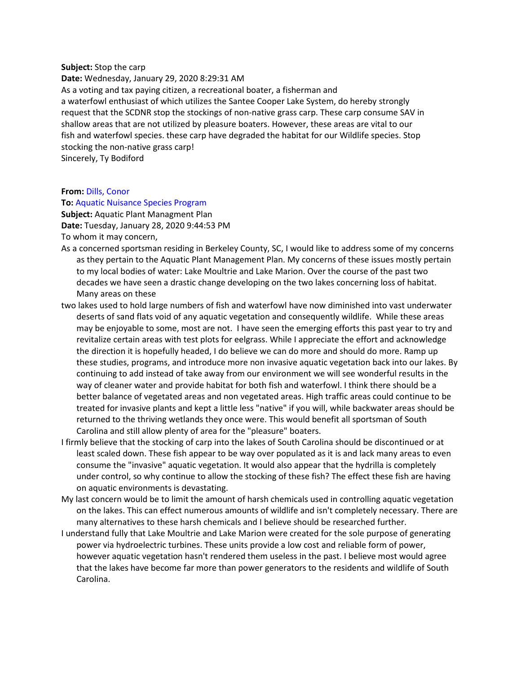#### **Subject:** Stop the carp

**Date:** Wednesday, January 29, 2020 8:29:31 AM As a voting and tax paying citizen, a recreational boater, a fisherman and a waterfowl enthusiast of which utilizes the Santee Cooper Lake System, do hereby strongly request that the SCDNR stop the stockings of non-native grass carp. These carp consume SAV in shallow areas that are not utilized by pleasure boaters. However, these areas are vital to our fish and waterfowl species. these carp have degraded the habitat for our Wildlife species. Stop stocking the non-native grass carp! Sincerely, Ty Bodiford

**From:** Dills, Conor

#### **To:** Aquatic Nuisance Species Program

**Subject:** Aquatic Plant Managment Plan **Date:** Tuesday, January 28, 2020 9:44:53 PM To whom it may concern,

- As a concerned sportsman residing in Berkeley County, SC, I would like to address some of my concerns as they pertain to the Aquatic Plant Management Plan. My concerns of these issues mostly pertain to my local bodies of water: Lake Moultrie and Lake Marion. Over the course of the past two decades we have seen a drastic change developing on the two lakes concerning loss of habitat. Many areas on these
- two lakes used to hold large numbers of fish and waterfowl have now diminished into vast underwater deserts of sand flats void of any aquatic vegetation and consequently wildlife. While these areas may be enjoyable to some, most are not. I have seen the emerging efforts this past year to try and revitalize certain areas with test plots for eelgrass. While I appreciate the effort and acknowledge the direction it is hopefully headed, I do believe we can do more and should do more. Ramp up these studies, programs, and introduce more non invasive aquatic vegetation back into our lakes. By continuing to add instead of take away from our environment we will see wonderful results in the way of cleaner water and provide habitat for both fish and waterfowl. I think there should be a better balance of vegetated areas and non vegetated areas. High traffic areas could continue to be treated for invasive plants and kept a little less "native" if you will, while backwater areas should be returned to the thriving wetlands they once were. This would benefit all sportsman of South Carolina and still allow plenty of area for the "pleasure" boaters.
- I firmly believe that the stocking of carp into the lakes of South Carolina should be discontinued or at least scaled down. These fish appear to be way over populated as it is and lack many areas to even consume the "invasive" aquatic vegetation. It would also appear that the hydrilla is completely under control, so why continue to allow the stocking of these fish? The effect these fish are having on aquatic environments is devastating.
- My last concern would be to limit the amount of harsh chemicals used in controlling aquatic vegetation on the lakes. This can effect numerous amounts of wildlife and isn't completely necessary. There are many alternatives to these harsh chemicals and I believe should be researched further.
- I understand fully that Lake Moultrie and Lake Marion were created for the sole purpose of generating power via hydroelectric turbines. These units provide a low cost and reliable form of power, however aquatic vegetation hasn't rendered them useless in the past. I believe most would agree that the lakes have become far more than power generators to the residents and wildlife of South Carolina.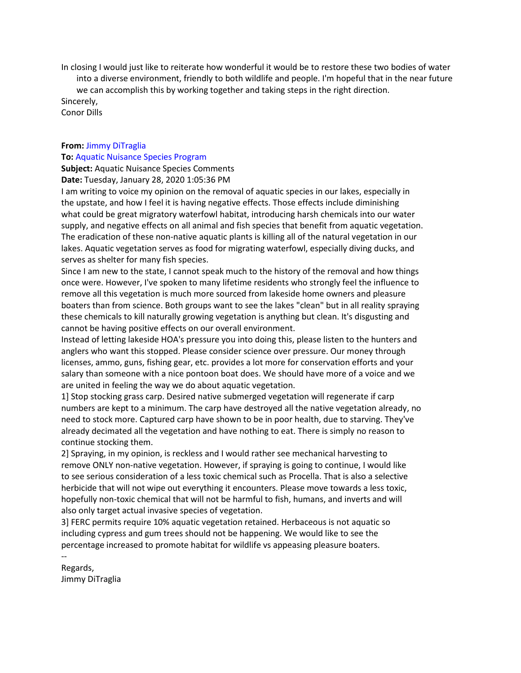In closing I would just like to reiterate how wonderful it would be to restore these two bodies of water into a diverse environment, friendly to both wildlife and people. I'm hopeful that in the near future we can accomplish this by working together and taking steps in the right direction. Sincerely,

Conor Dills

## **From:** Jimmy DiTraglia

#### **To:** Aquatic Nuisance Species Program

**Subject:** Aquatic Nuisance Species Comments **Date:** Tuesday, January 28, 2020 1:05:36 PM

I am writing to voice my opinion on the removal of aquatic species in our lakes, especially in the upstate, and how I feel it is having negative effects. Those effects include diminishing what could be great migratory waterfowl habitat, introducing harsh chemicals into our water supply, and negative effects on all animal and fish species that benefit from aquatic vegetation. The eradication of these non-native aquatic plants is killing all of the natural vegetation in our lakes. Aquatic vegetation serves as food for migrating waterfowl, especially diving ducks, and serves as shelter for many fish species.

Since I am new to the state, I cannot speak much to the history of the removal and how things once were. However, I've spoken to many lifetime residents who strongly feel the influence to remove all this vegetation is much more sourced from lakeside home owners and pleasure boaters than from science. Both groups want to see the lakes "clean" but in all reality spraying these chemicals to kill naturally growing vegetation is anything but clean. It's disgusting and cannot be having positive effects on our overall environment.

Instead of letting lakeside HOA's pressure you into doing this, please listen to the hunters and anglers who want this stopped. Please consider science over pressure. Our money through licenses, ammo, guns, fishing gear, etc. provides a lot more for conservation efforts and your salary than someone with a nice pontoon boat does. We should have more of a voice and we are united in feeling the way we do about aquatic vegetation.

1] Stop stocking grass carp. Desired native submerged vegetation will regenerate if carp numbers are kept to a minimum. The carp have destroyed all the native vegetation already, no need to stock more. Captured carp have shown to be in poor health, due to starving. They've already decimated all the vegetation and have nothing to eat. There is simply no reason to continue stocking them.

2] Spraying, in my opinion, is reckless and I would rather see mechanical harvesting to remove ONLY non-native vegetation. However, if spraying is going to continue, I would like to see serious consideration of a less toxic chemical such as Procella. That is also a selective herbicide that will not wipe out everything it encounters. Please move towards a less toxic, hopefully non-toxic chemical that will not be harmful to fish, humans, and inverts and will also only target actual invasive species of vegetation.

3] FERC permits require 10% aquatic vegetation retained. Herbaceous is not aquatic so including cypress and gum trees should not be happening. We would like to see the percentage increased to promote habitat for wildlife vs appeasing pleasure boaters. --

Regards, Jimmy DiTraglia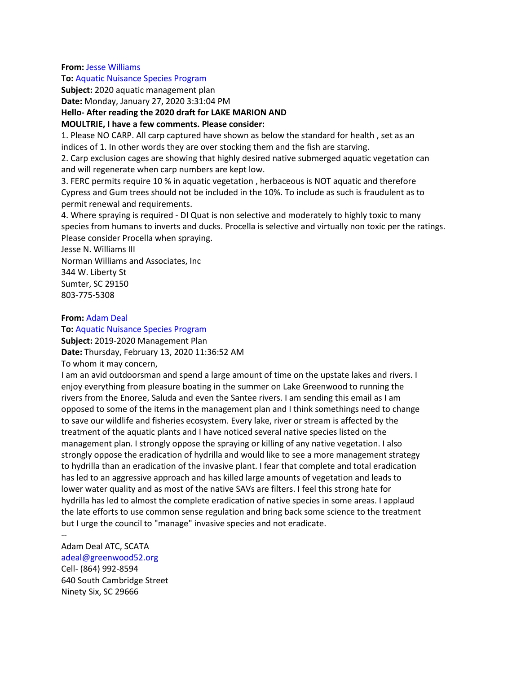#### **From:** Jesse Williams

#### **To:** Aquatic Nuisance Species Program

**Subject:** 2020 aquatic management plan

**Date:** Monday, January 27, 2020 3:31:04 PM

### **Hello- After reading the 2020 draft for LAKE MARION AND**

### **MOULTRIE, I have a few comments. Please consider:**

1. Please NO CARP. All carp captured have shown as below the standard for health , set as an indices of 1. In other words they are over stocking them and the fish are starving.

2. Carp exclusion cages are showing that highly desired native submerged aquatic vegetation can and will regenerate when carp numbers are kept low.

3. FERC permits require 10 % in aquatic vegetation , herbaceous is NOT aquatic and therefore Cypress and Gum trees should not be included in the 10%. To include as such is fraudulent as to permit renewal and requirements.

4. Where spraying is required - DI Quat is non selective and moderately to highly toxic to many species from humans to inverts and ducks. Procella is selective and virtually non toxic per the ratings. Please consider Procella when spraying.

Jesse N. Williams III

Norman Williams and Associates, Inc 344 W. Liberty St Sumter, SC 29150 803-775-5308

### **From:** Adam Deal

### **To:** Aquatic Nuisance Species Program

**Subject:** 2019-2020 Management Plan **Date:** Thursday, February 13, 2020 11:36:52 AM To whom it may concern,

I am an avid outdoorsman and spend a large amount of time on the upstate lakes and rivers. I enjoy everything from pleasure boating in the summer on Lake Greenwood to running the rivers from the Enoree, Saluda and even the Santee rivers. I am sending this email as I am opposed to some of the items in the management plan and I think somethings need to change to save our wildlife and fisheries ecosystem. Every lake, river or stream is affected by the treatment of the aquatic plants and I have noticed several native species listed on the management plan. I strongly oppose the spraying or killing of any native vegetation. I also strongly oppose the eradication of hydrilla and would like to see a more management strategy to hydrilla than an eradication of the invasive plant. I fear that complete and total eradication has led to an aggressive approach and has killed large amounts of vegetation and leads to lower water quality and as most of the native SAVs are filters. I feel this strong hate for hydrilla has led to almost the complete eradication of native species in some areas. I applaud the late efforts to use common sense regulation and bring back some science to the treatment but I urge the council to "manage" invasive species and not eradicate.

#### --

Adam Deal ATC, SCATA adeal@greenwood52.org Cell- (864) 992-8594 640 South Cambridge Street Ninety Six, SC 29666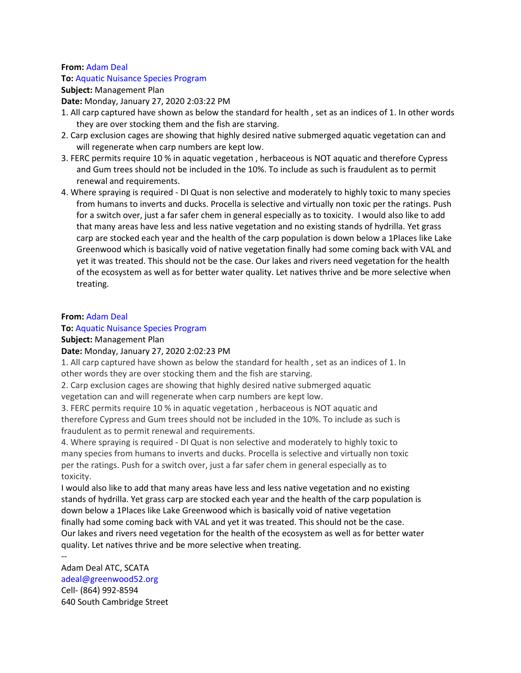### **From:** Adam Deal

## **To:** Aquatic Nuisance Species Program

**Subject:** Management Plan

**Date:** Monday, January 27, 2020 2:03:22 PM

- 1. All carp captured have shown as below the standard for health , set as an indices of 1. In other words they are over stocking them and the fish are starving.
- 2. Carp exclusion cages are showing that highly desired native submerged aquatic vegetation can and will regenerate when carp numbers are kept low.
- 3. FERC permits require 10 % in aquatic vegetation , herbaceous is NOT aquatic and therefore Cypress and Gum trees should not be included in the 10%. To include as such is fraudulent as to permit renewal and requirements.
- 4. Where spraying is required DI Quat is non selective and moderately to highly toxic to many species from humans to inverts and ducks. Procella is selective and virtually non toxic per the ratings. Push for a switch over, just a far safer chem in general especially as to toxicity. I would also like to add that many areas have less and less native vegetation and no existing stands of hydrilla. Yet grass carp are stocked each year and the health of the carp population is down below a 1Places like Lake Greenwood which is basically void of native vegetation finally had some coming back with VAL and yet it was treated. This should not be the case. Our lakes and rivers need vegetation for the health of the ecosystem as well as for better water quality. Let natives thrive and be more selective when treating.

## **From:** Adam Deal

# **To:** Aquatic Nuisance Species Program

**Subject:** Management Plan

# **Date:** Monday, January 27, 2020 2:02:23 PM

1. All carp captured have shown as below the standard for health , set as an indices of 1. In other words they are over stocking them and the fish are starving.

2. Carp exclusion cages are showing that highly desired native submerged aquatic vegetation can and will regenerate when carp numbers are kept low.

3. FERC permits require 10 % in aquatic vegetation , herbaceous is NOT aquatic and therefore Cypress and Gum trees should not be included in the 10%. To include as such is fraudulent as to permit renewal and requirements.

4. Where spraying is required - DI Quat is non selective and moderately to highly toxic to many species from humans to inverts and ducks. Procella is selective and virtually non toxic per the ratings. Push for a switch over, just a far safer chem in general especially as to toxicity.

I would also like to add that many areas have less and less native vegetation and no existing stands of hydrilla. Yet grass carp are stocked each year and the health of the carp population is down below a 1Places like Lake Greenwood which is basically void of native vegetation finally had some coming back with VAL and yet it was treated. This should not be the case. Our lakes and rivers need vegetation for the health of the ecosystem as well as for better water quality. Let natives thrive and be more selective when treating. --

Adam Deal ATC, SCATA adeal@greenwood52.org Cell- (864) 992-8594 640 South Cambridge Street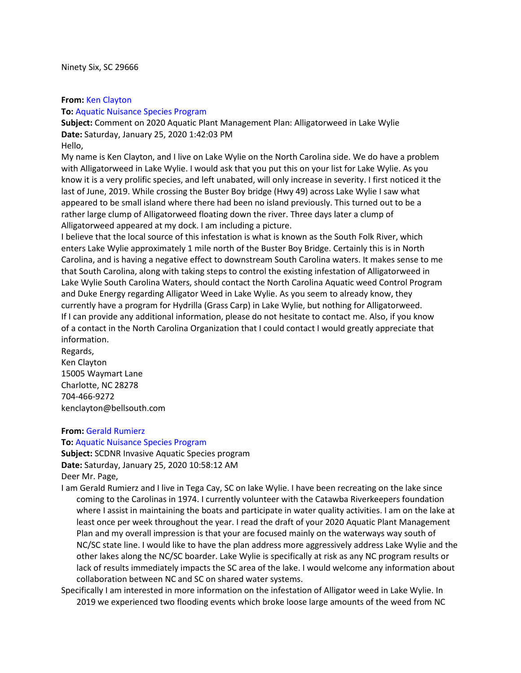### **From:** Ken Clayton

### **To:** Aquatic Nuisance Species Program

**Subject:** Comment on 2020 Aquatic Plant Management Plan: Alligatorweed in Lake Wylie **Date:** Saturday, January 25, 2020 1:42:03 PM

#### Hello,

My name is Ken Clayton, and I live on Lake Wylie on the North Carolina side. We do have a problem with Alligatorweed in Lake Wylie. I would ask that you put this on your list for Lake Wylie. As you know it is a very prolific species, and left unabated, will only increase in severity. I first noticed it the last of June, 2019. While crossing the Buster Boy bridge (Hwy 49) across Lake Wylie I saw what appeared to be small island where there had been no island previously. This turned out to be a rather large clump of Alligatorweed floating down the river. Three days later a clump of Alligatorweed appeared at my dock. I am including a picture.

I believe that the local source of this infestation is what is known as the South Folk River, which enters Lake Wylie approximately 1 mile north of the Buster Boy Bridge. Certainly this is in North Carolina, and is having a negative effect to downstream South Carolina waters. It makes sense to me that South Carolina, along with taking steps to control the existing infestation of Alligatorweed in Lake Wylie South Carolina Waters, should contact the North Carolina Aquatic weed Control Program and Duke Energy regarding Alligator Weed in Lake Wylie. As you seem to already know, they currently have a program for Hydrilla (Grass Carp) in Lake Wylie, but nothing for Alligatorweed. If I can provide any additional information, please do not hesitate to contact me. Also, if you know of a contact in the North Carolina Organization that I could contact I would greatly appreciate that information.

Regards, Ken Clayton 15005 Waymart Lane Charlotte, NC 28278 704-466-9272 kenclayton@bellsouth.com

### **From:** Gerald Rumierz

#### **To:** Aquatic Nuisance Species Program

**Subject:** SCDNR Invasive Aquatic Species program **Date:** Saturday, January 25, 2020 10:58:12 AM Deer Mr. Page,

I am Gerald Rumierz and I live in Tega Cay, SC on lake Wylie. I have been recreating on the lake since coming to the Carolinas in 1974. I currently volunteer with the Catawba Riverkeepers foundation where I assist in maintaining the boats and participate in water quality activities. I am on the lake at least once per week throughout the year. I read the draft of your 2020 Aquatic Plant Management Plan and my overall impression is that your are focused mainly on the waterways way south of NC/SC state line. I would like to have the plan address more aggressively address Lake Wylie and the other lakes along the NC/SC boarder. Lake Wylie is specifically at risk as any NC program results or lack of results immediately impacts the SC area of the lake. I would welcome any information about collaboration between NC and SC on shared water systems.

Specifically I am interested in more information on the infestation of Alligator weed in Lake Wylie. In 2019 we experienced two flooding events which broke loose large amounts of the weed from NC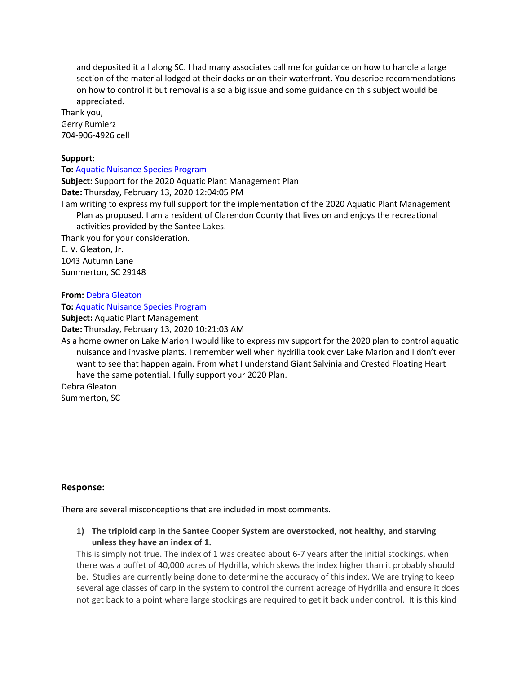and deposited it all along SC. I had many associates call me for guidance on how to handle a large section of the material lodged at their docks or on their waterfront. You describe recommendations on how to control it but removal is also a big issue and some guidance on this subject would be appreciated.

Thank you, Gerry Rumierz 704-906-4926 cell

### **Support:**

**To:** Aquatic Nuisance Species Program **Subject:** Support for the 2020 Aquatic Plant Management Plan **Date:** Thursday, February 13, 2020 12:04:05 PM I am writing to express my full support for the implementation of the 2020 Aquatic Plant Management Plan as proposed. I am a resident of Clarendon County that lives on and enjoys the recreational activities provided by the Santee Lakes. Thank you for your consideration. E. V. Gleaton, Jr. 1043 Autumn Lane Summerton, SC 29148

# **From:** Debra Gleaton

**To:** Aquatic Nuisance Species Program

**Subject:** Aquatic Plant Management

**Date:** Thursday, February 13, 2020 10:21:03 AM

As a home owner on Lake Marion I would like to express my support for the 2020 plan to control aquatic nuisance and invasive plants. I remember well when hydrilla took over Lake Marion and I don't ever want to see that happen again. From what I understand Giant Salvinia and Crested Floating Heart have the same potential. I fully support your 2020 Plan.

Debra Gleaton Summerton, SC

**Response:**

There are several misconceptions that are included in most comments.

**1) The triploid carp in the Santee Cooper System are overstocked, not healthy, and starving unless they have an index of 1.**

This is simply not true. The index of 1 was created about 6-7 years after the initial stockings, when there was a buffet of 40,000 acres of Hydrilla, which skews the index higher than it probably should be. Studies are currently being done to determine the accuracy of this index. We are trying to keep several age classes of carp in the system to control the current acreage of Hydrilla and ensure it does not get back to a point where large stockings are required to get it back under control. It is this kind